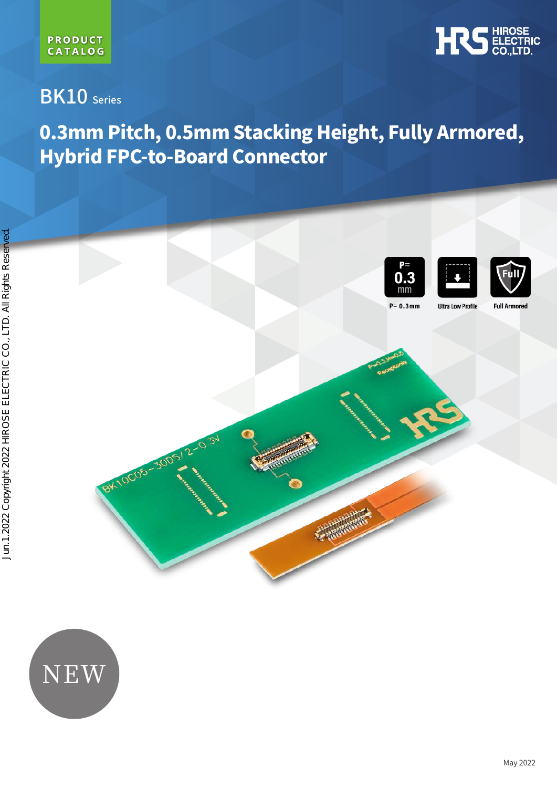

# BK10 Series

# 0.3mm Pitch, 0.5mm Stacking Height, Fully Armored, Hybrid FPC-to-Board Connector



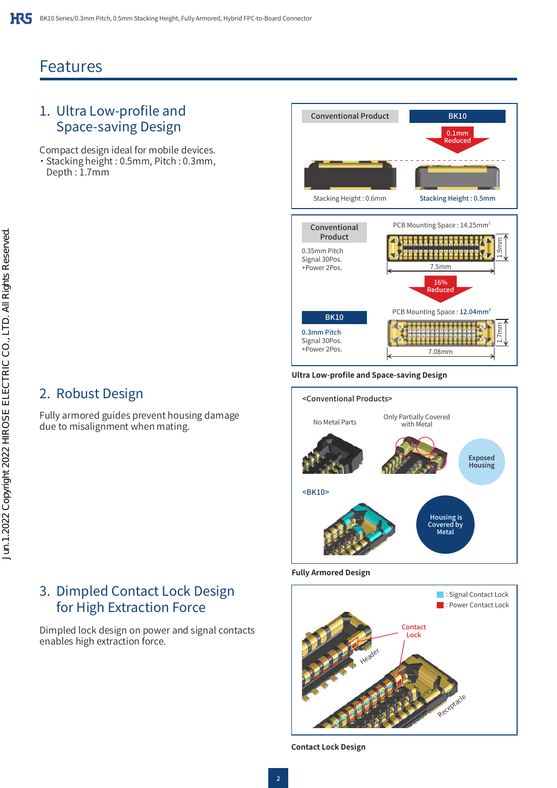# Features

# 1. Ultra Low-profile and Space-saving Design

Compact design ideal for mobile devices. ・ Stacking height : 0.5mm, Pitch : 0.3mm, Depth : 1.7mm

# 2. Robust Design

Fully armored guides prevent housing damage due to misalignment when mating.

## 3. Dimpled Contact Lock Design for High Extraction Force

Dimpled lock design on power and signal contacts enables high extraction force.



#### **Ultra Low-profile and Space-saving Design**



#### **Fully Armored Design**



**Contact Lock Design**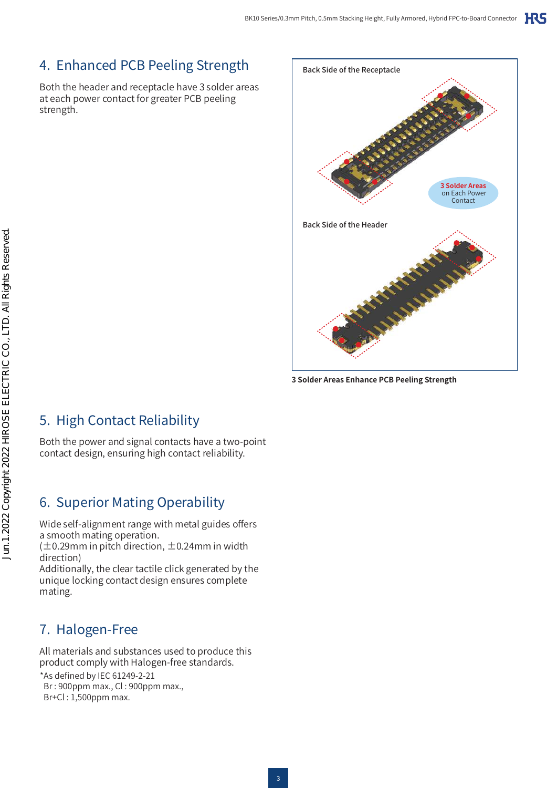# 4. Enhanced PCB Peeling Strength

Both the header and receptacle have 3 solder areas at each power contact for greater PCB peeling strength.



**3 Solder Areas Enhance PCB Peeling Strength**

5. High Contact Reliability

Both the power and signal contacts have a two-point contact design, ensuring high contact reliability.

# 6. Superior Mating Operability

Wide self-alignment range with metal guides offers a smooth mating operation.

 $(\pm 0.29$ mm in pitch direction,  $\pm 0.24$ mm in width direction)

Additionally, the clear tactile click generated by the unique locking contact design ensures complete mating.

# 7. Halogen-Free

All materials and substances used to produce this product comply with Halogen-free standards.

\*As defined by IEC 61249-2-21 Br : 900ppm max., Cl : 900ppm max., Br+Cl : 1,500ppm max.

Jun.1.2022 Copyright 2022 HIROSE ELECTRIC CO., LTD. All Rights Reserved. Jun.1.2022 Copyright 2022 HIROSE ELECTRIC CO., LTD. All Rights Reserved.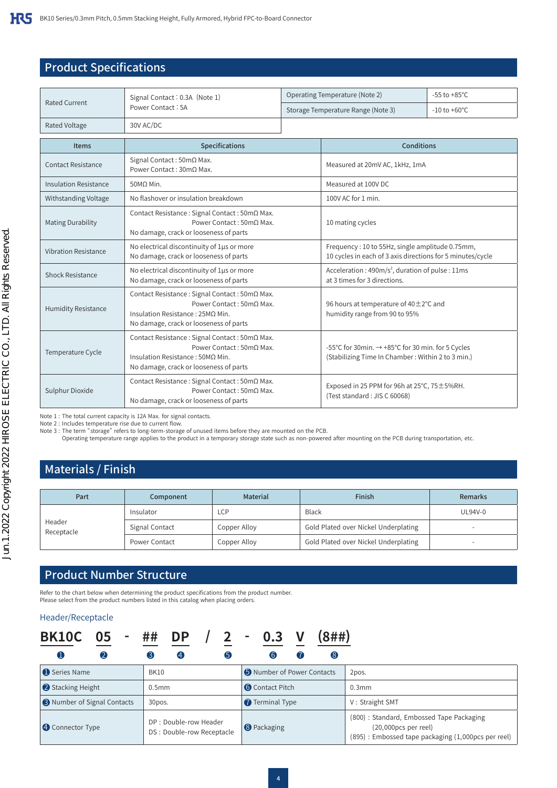### Product Specifications

| <b>Rated Current</b>         | Signal Contact: 0.3A (Note 1)                                                                                                                             | Operating Temperature (Note 2)                                                                                | $-55$ to $+85^{\circ}$ C |  |  |  |
|------------------------------|-----------------------------------------------------------------------------------------------------------------------------------------------------------|---------------------------------------------------------------------------------------------------------------|--------------------------|--|--|--|
|                              | Power Contact: 5A                                                                                                                                         | Storage Temperature Range (Note 3)                                                                            | $-10$ to $+60^{\circ}$ C |  |  |  |
| <b>Rated Voltage</b>         | 30V AC/DC                                                                                                                                                 |                                                                                                               |                          |  |  |  |
| <b>Items</b>                 | Specifications                                                                                                                                            | Conditions                                                                                                    |                          |  |  |  |
| <b>Contact Resistance</b>    | Signal Contact: 50mΩ Max.<br>Power Contact: 30mQ Max.                                                                                                     | Measured at 20mV AC, 1kHz, 1mA                                                                                |                          |  |  |  |
| <b>Insulation Resistance</b> | $50M\Omega$ Min.                                                                                                                                          | Measured at 100V DC                                                                                           |                          |  |  |  |
| Withstanding Voltage         | No flashover or insulation breakdown                                                                                                                      | 100V AC for 1 min.                                                                                            |                          |  |  |  |
| <b>Mating Durability</b>     | Contact Resistance: Signal Contact: 50mΩ Max.<br>Power Contact: 50mΩ Max.<br>No damage, crack or looseness of parts                                       | 10 mating cycles                                                                                              |                          |  |  |  |
| <b>Vibration Resistance</b>  | No electrical discontinuity of 1µs or more<br>No damage, crack or looseness of parts                                                                      | Frequency: 10 to 55Hz, single amplitude 0.75mm,<br>10 cycles in each of 3 axis directions for 5 minutes/cycle |                          |  |  |  |
| Shock Resistance             | No electrical discontinuity of 1µs or more<br>No damage, crack or looseness of parts                                                                      | Acceleration: $490 \text{m/s}^2$ , duration of pulse: 11ms<br>at 3 times for 3 directions.                    |                          |  |  |  |
| <b>Humidity Resistance</b>   | Contact Resistance : Signal Contact : 50mΩ Max.<br>Power Contact: 50mO Max.<br>Insulation Resistance: 25MQ Min.<br>No damage, crack or looseness of parts | 96 hours at temperature of 40 ± 2°C and<br>humidity range from 90 to 95%                                      |                          |  |  |  |
| Temperature Cycle            | Contact Resistance: Signal Contact: 50mΩ Max.<br>Power Contact: 50mΩ Max.<br>Insulation Resistance: 50MO Min.<br>No damage, crack or looseness of parts   | -55°C for 30min. → +85°C for 30 min. for 5 Cycles<br>(Stabilizing Time In Chamber: Within 2 to 3 min.)        |                          |  |  |  |
| Sulphur Dioxide              | Contact Resistance: Signal Contact: 50mΩ Max.<br>Power Contact: 50mQ Max.<br>No damage, crack or looseness of parts                                       | Exposed in 25 PPM for 96h at 25°C, 75 ± 5%RH.<br>(Test standard: JIS C 60068)                                 |                          |  |  |  |

Note 1 : The total current capacity is 12A Max. for signal contacts.

Note 2 : Includes temperature rise due to current flow.

Note 3 : The term "storage" refers to long-term-storage of unused items before they are mounted on the PCB.

Operating temperature range applies to the product in a temporary storage state such as non-powered after mounting on the PCB during transportation, etc.

### Materials / Finish

| Part                 | Component      | <b>Material</b> | Finish                               | <b>Remarks</b> |
|----------------------|----------------|-----------------|--------------------------------------|----------------|
|                      | Insulator      | <b>LCP</b>      | Black                                | UL94V-0        |
| Header<br>Receptacle | Signal Contact | Copper Alloy    | Gold Plated over Nickel Underplating |                |
|                      | Power Contact  | Copper Alloy    | Gold Plated over Nickel Underplating |                |

#### Product Number Structure

Refer to the chart below when determining the product specifications from the product number. Please select from the product numbers listed in this catalog when placing orders.

#### Header/Receptacle

| <b>BK10C</b>                       | 05               |                   | DP                                                   |   | $\blacksquare$ |                            |    | (8##) |                                                                                                                         |
|------------------------------------|------------------|-------------------|------------------------------------------------------|---|----------------|----------------------------|----|-------|-------------------------------------------------------------------------------------------------------------------------|
| U                                  | $\boldsymbol{2}$ |                   | $\boldsymbol{4}$                                     | 6 |                | $\overline{6}$             | (7 | (8)   |                                                                                                                         |
| Series Name                        |                  | <b>BK10</b>       |                                                      |   |                | S Number of Power Contacts |    |       | 2pos.                                                                                                                   |
| Stacking Height                    |                  | 0.5 <sub>mm</sub> |                                                      |   |                | <b>6</b> Contact Pitch     |    |       | $0.3$ mm                                                                                                                |
| <b>B</b> Number of Signal Contacts |                  | 30pos.            |                                                      |   |                | Terminal Type              |    |       | V: Straight SMT                                                                                                         |
| <b>4</b> Connector Type            |                  |                   | DP : Double-row Header<br>DS : Double-row Receptacle |   |                | <b>8</b> Packaging         |    |       | (800): Standard, Embossed Tape Packaging<br>(20,000pcs per reel)<br>(895) : Embossed tape packaging (1,000pcs per reel) |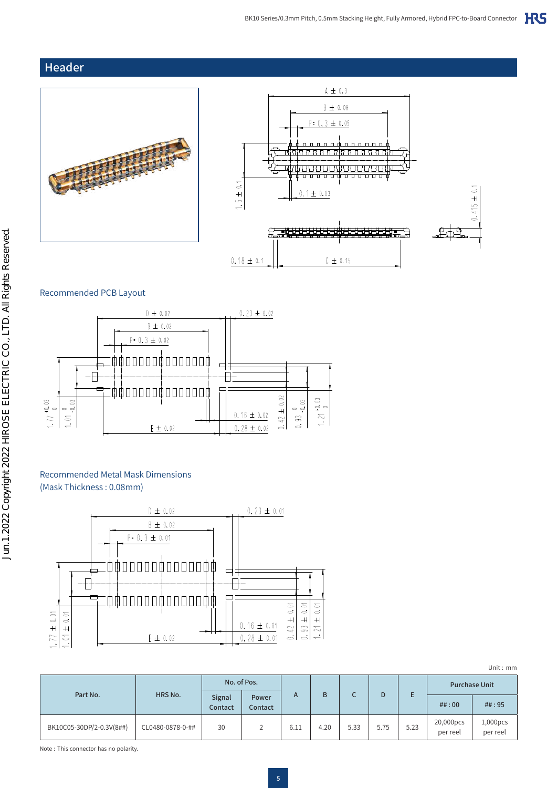#### Header





#### Recommended PCB Layout



#### Recommended Metal Mask Dimensions (Mask Thickness : 0.08mm)



| Unit: $mm$ |  |
|------------|--|
|            |  |
|            |  |

|                          |                  | No. of Pos.       |                  |      |      |      |      |      | <b>Purchase Unit</b>  |                         |
|--------------------------|------------------|-------------------|------------------|------|------|------|------|------|-----------------------|-------------------------|
| Part No.                 | HRS No.          | Signal<br>Contact | Power<br>Contact | A    | B    |      | D    |      | ##:00                 | ##:95                   |
| BK10C05-30DP/2-0.3V(8##) | CL0480-0878-0-## | 30                |                  | 6.11 | 4.20 | 5.33 | 5.75 | 5.23 | 20,000pcs<br>per reel | $1,000$ pcs<br>per reel |

Note : This connector has no polarity.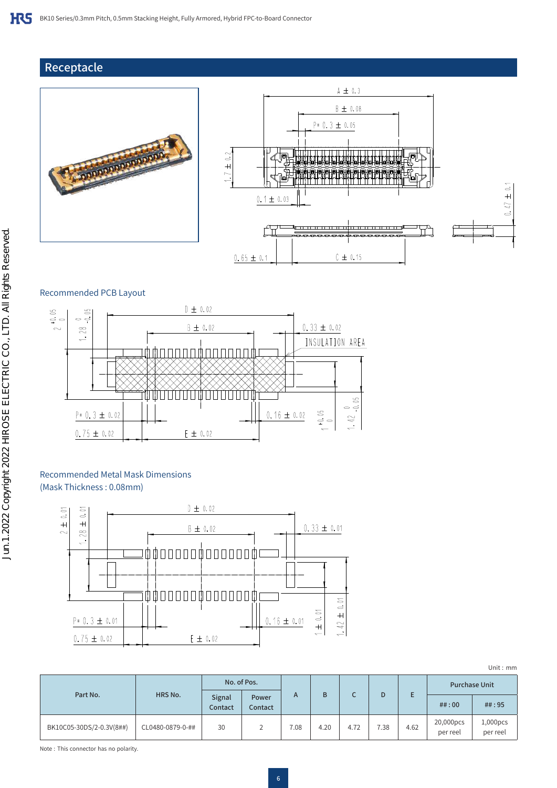### Receptacle







#### Recommended PCB Layout



#### Recommended Metal Mask Dimensions (Mask Thickness : 0.08mm)



| Unit: $mm$ |  |
|------------|--|
|            |  |
|            |  |

|                          |                  | No. of Pos.       |                  |      |      |      |      |      | <b>Purchase Unit</b>  |                         |
|--------------------------|------------------|-------------------|------------------|------|------|------|------|------|-----------------------|-------------------------|
| Part No.                 | HRS No.          | Signal<br>Contact | Power<br>Contact | A    | B    |      | D    |      | ##:00                 | ##:95                   |
| BK10C05-30DS/2-0.3V(8##) | CL0480-0879-0-## | 30                |                  | 7.08 | 4.20 | 4.72 | 7.38 | 4.62 | 20,000pcs<br>per reel | $1,000$ pcs<br>per reel |

Note : This connector has no polarity.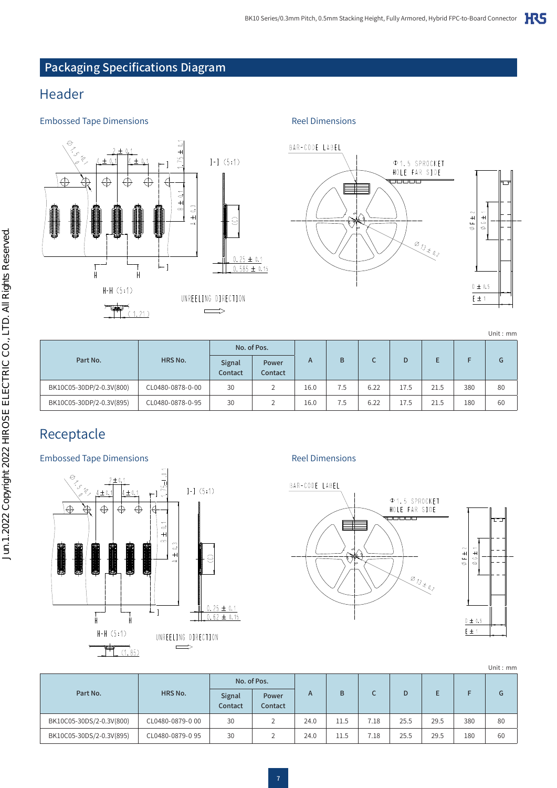### Packaging Specifications Diagram

## Header

#### Embossed Tape Dimensions **Embossed Tape Dimensions**







|                          |                  |                   |                  |      |     |      |      |      |     | Unit: mm |
|--------------------------|------------------|-------------------|------------------|------|-----|------|------|------|-----|----------|
| Part No.                 |                  | No. of Pos.       |                  |      |     |      |      |      |     |          |
|                          | HRS No.          | Signal<br>Contact | Power<br>Contact | A    | B   |      | D    | E    |     | G        |
| BK10C05-30DP/2-0.3V(800) | CL0480-0878-0-00 | 30                | 2                | 16.0 | 7.5 | 6.22 | 17.5 | 21.5 | 380 | 80       |
| BK10C05-30DP/2-0.3V(895) | CL0480-0878-0-95 | 30                | 2                | 16.0 | 7.5 | 6.22 | 17.5 | 21.5 | 180 | 60       |

# Receptacle

### Embossed Tape Dimensions **Embossed Tape Dimensions**







|  | Unit: $mm$ |
|--|------------|
|  |            |

| Part No.                 |                  |                   | No. of Pos.      |      |      |      |      |      |     |    |
|--------------------------|------------------|-------------------|------------------|------|------|------|------|------|-----|----|
|                          | HRS No.          | Signal<br>Contact | Power<br>Contact | A    | В    |      | D    |      |     | G  |
| BK10C05-30DS/2-0.3V(800) | CL0480-0879-0 00 | 30                | 2                | 24.0 | 11.5 | 7.18 | 25.5 | 29.5 | 380 | 80 |
| BK10C05-30DS/2-0.3V(895) | CL0480-0879-0 95 | 30                | 2                | 24.0 | 11.5 | 7.18 | 25.5 | 29.5 | 180 | 60 |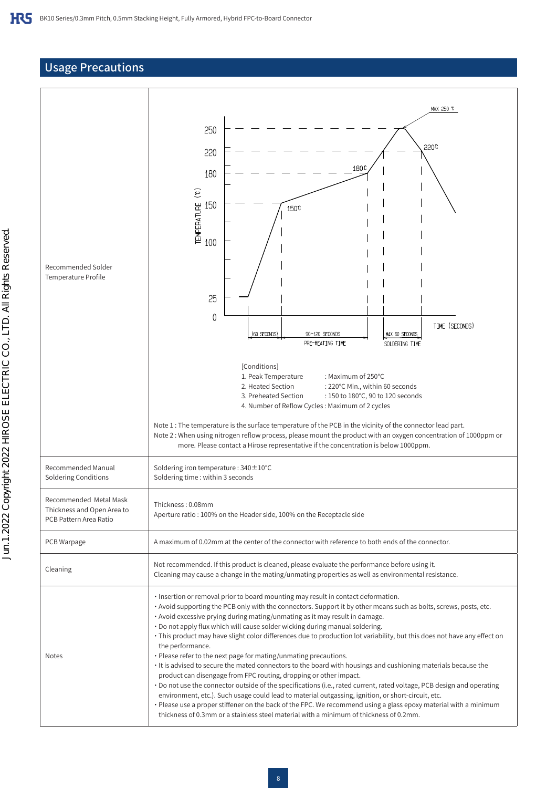#### Usage Precautions

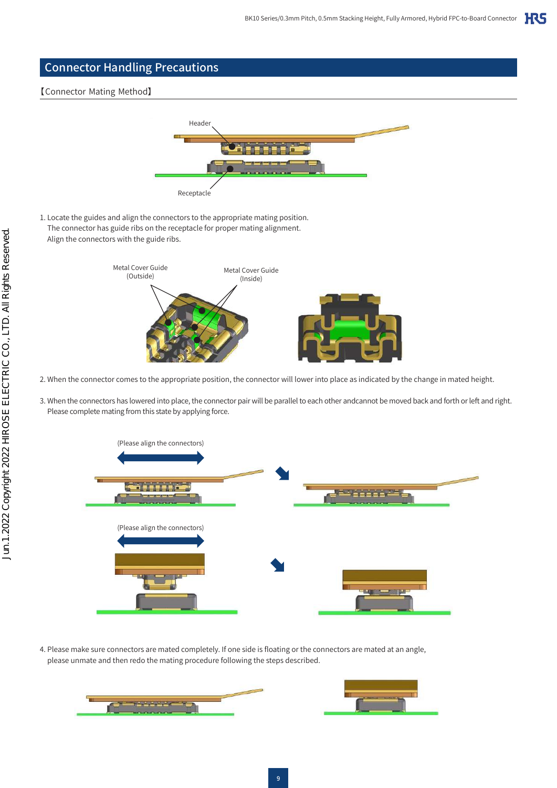

#### 【Connector Mating Method】



1. Locate the guides and align the connectors to the appropriate mating position. The connector has guide ribs on the receptacle for proper mating alignment. Align the connectors with the guide ribs.



- 2. When the connector comes to the appropriate position, the connector will lower into place as indicated by the change in mated height.
- 3. When the connectors has lowered into place, the connector pair will be parallel to each other andcannot be moved back and forth or left and right. Please complete mating from this state by applying force.



4. Please make sure connectors are mated completely. If one side is floating or the connectors are mated at an angle, please unmate and then redo the mating procedure following the steps described.



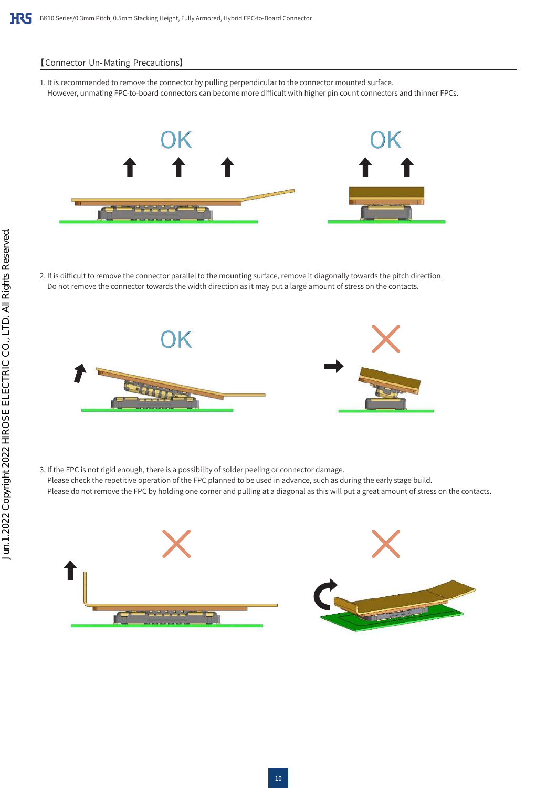#### 【Connector Un- Mating Precautions】

1. It is recommended to remove the connector by pulling perpendicular to the connector mounted surface. However, unmating FPC-to-board connectors can become more difficult with higher pin count connectors and thinner FPCs.



2. If is difficult to remove the connector parallel to the mounting surface, remove it diagonally towards the pitch direction. Do not remove the connector towards the width direction as it may put a large amount of stress on the contacts.



3. If the FPC is not rigid enough, there is a possibility of solder peeling or connector damage. Please check the repetitive operation of the FPC planned to be used in advance, such as during the early stage build. Please do not remove the FPC by holding one corner and pulling at a diagonal as this will put a great amount of stress on the contacts.